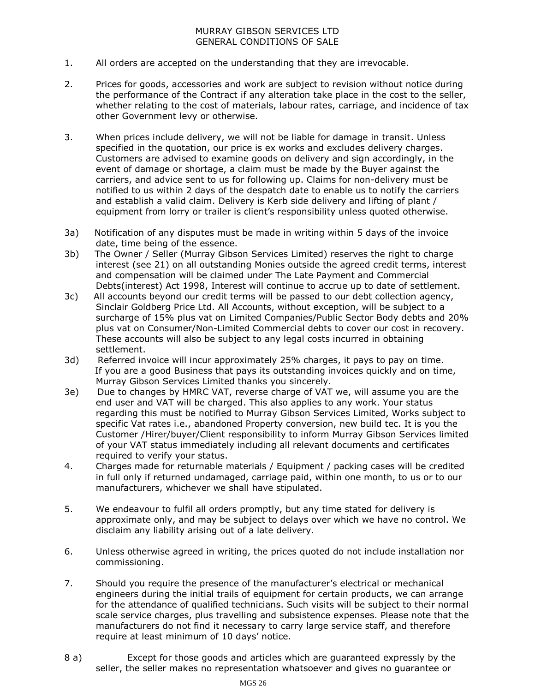## MURRAY GIBSON SERVICES LTD GENERAL CONDITIONS OF SALE

- 1. All orders are accepted on the understanding that they are irrevocable.
- 2. Prices for goods, accessories and work are subject to revision without notice during the performance of the Contract if any alteration take place in the cost to the seller, whether relating to the cost of materials, labour rates, carriage, and incidence of tax other Government levy or otherwise.
- 3. When prices include delivery, we will not be liable for damage in transit. Unless specified in the quotation, our price is ex works and excludes delivery charges. Customers are advised to examine goods on delivery and sign accordingly, in the event of damage or shortage, a claim must be made by the Buyer against the carriers, and advice sent to us for following up. Claims for non-delivery must be notified to us within 2 days of the despatch date to enable us to notify the carriers and establish a valid claim. Delivery is Kerb side delivery and lifting of plant / equipment from lorry or trailer is client's responsibility unless quoted otherwise.
- 3a) Notification of any disputes must be made in writing within 5 days of the invoice date, time being of the essence.
- 3b) The Owner / Seller (Murray Gibson Services Limited) reserves the right to charge interest (see 21) on all outstanding Monies outside the agreed credit terms, interest and compensation will be claimed under The Late Payment and Commercial Debts(interest) Act 1998, Interest will continue to accrue up to date of settlement.
- 3c) All accounts beyond our credit terms will be passed to our debt collection agency, Sinclair Goldberg Price Ltd. All Accounts, without exception, will be subject to a surcharge of 15% plus vat on Limited Companies/Public Sector Body debts and 20% plus vat on Consumer/Non-Limited Commercial debts to cover our cost in recovery. These accounts will also be subject to any legal costs incurred in obtaining settlement.
- 3d) Referred invoice will incur approximately 25% charges, it pays to pay on time. If you are a good Business that pays its outstanding invoices quickly and on time, Murray Gibson Services Limited thanks you sincerely.
- 3e) Due to changes by HMRC VAT, reverse charge of VAT we, will assume you are the end user and VAT will be charged. This also applies to any work. Your status regarding this must be notified to Murray Gibson Services Limited, Works subject to specific Vat rates i.e., abandoned Property conversion, new build tec. It is you the Customer /Hirer/buyer/Client responsibility to inform Murray Gibson Services limited of your VAT status immediately including all relevant documents and certificates required to verify your status.
- 4. Charges made for returnable materials / Equipment / packing cases will be credited in full only if returned undamaged, carriage paid, within one month, to us or to our manufacturers, whichever we shall have stipulated.
- 5. We endeavour to fulfil all orders promptly, but any time stated for delivery is approximate only, and may be subject to delays over which we have no control. We disclaim any liability arising out of a late delivery.
- 6. Unless otherwise agreed in writing, the prices quoted do not include installation nor commissioning.
- 7. Should you require the presence of the manufacturer's electrical or mechanical engineers during the initial trails of equipment for certain products, we can arrange for the attendance of qualified technicians. Such visits will be subject to their normal scale service charges, plus travelling and subsistence expenses. Please note that the manufacturers do not find it necessary to carry large service staff, and therefore require at least minimum of 10 days' notice.
- 8 a) Except for those goods and articles which are guaranteed expressly by the seller, the seller makes no representation whatsoever and gives no guarantee or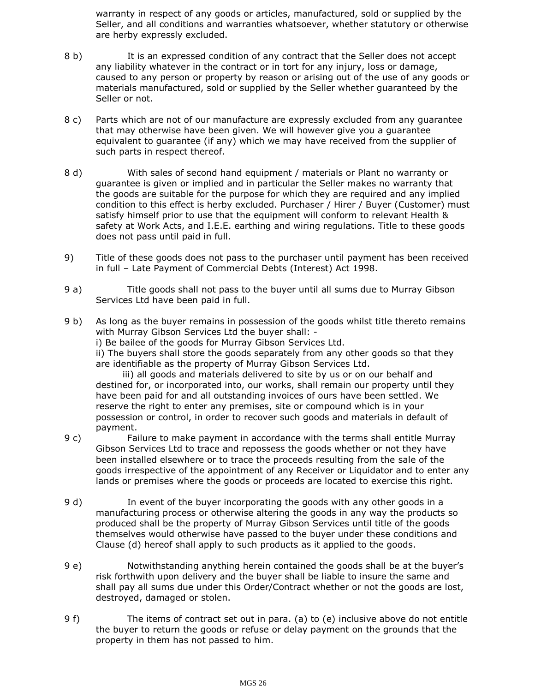warranty in respect of any goods or articles, manufactured, sold or supplied by the Seller, and all conditions and warranties whatsoever, whether statutory or otherwise are herby expressly excluded.

- 8 b) It is an expressed condition of any contract that the Seller does not accept any liability whatever in the contract or in tort for any injury, loss or damage, caused to any person or property by reason or arising out of the use of any goods or materials manufactured, sold or supplied by the Seller whether guaranteed by the Seller or not.
- 8 c) Parts which are not of our manufacture are expressly excluded from any guarantee that may otherwise have been given. We will however give you a guarantee equivalent to guarantee (if any) which we may have received from the supplier of such parts in respect thereof.
- 8 d) With sales of second hand equipment / materials or Plant no warranty or guarantee is given or implied and in particular the Seller makes no warranty that the goods are suitable for the purpose for which they are required and any implied condition to this effect is herby excluded. Purchaser / Hirer / Buyer (Customer) must satisfy himself prior to use that the equipment will conform to relevant Health & safety at Work Acts, and I.E.E. earthing and wiring regulations. Title to these goods does not pass until paid in full.
- 9) Title of these goods does not pass to the purchaser until payment has been received in full – Late Payment of Commercial Debts (Interest) Act 1998.
- 9 a) Title goods shall not pass to the buyer until all sums due to Murray Gibson Services Ltd have been paid in full.
- 9 b) As long as the buyer remains in possession of the goods whilst title thereto remains with Murray Gibson Services Ltd the buyer shall: -

i) Be bailee of the goods for Murray Gibson Services Ltd.

ii) The buyers shall store the goods separately from any other goods so that they are identifiable as the property of Murray Gibson Services Ltd.

 iii) all goods and materials delivered to site by us or on our behalf and destined for, or incorporated into, our works, shall remain our property until they have been paid for and all outstanding invoices of ours have been settled. We reserve the right to enter any premises, site or compound which is in your possession or control, in order to recover such goods and materials in default of payment.

- 9 c) Failure to make payment in accordance with the terms shall entitle Murray Gibson Services Ltd to trace and repossess the goods whether or not they have been installed elsewhere or to trace the proceeds resulting from the sale of the goods irrespective of the appointment of any Receiver or Liquidator and to enter any lands or premises where the goods or proceeds are located to exercise this right.
- 9 d) In event of the buyer incorporating the goods with any other goods in a manufacturing process or otherwise altering the goods in any way the products so produced shall be the property of Murray Gibson Services until title of the goods themselves would otherwise have passed to the buyer under these conditions and Clause (d) hereof shall apply to such products as it applied to the goods.
- 9 e) Notwithstanding anything herein contained the goods shall be at the buyer's risk forthwith upon delivery and the buyer shall be liable to insure the same and shall pay all sums due under this Order/Contract whether or not the goods are lost, destroyed, damaged or stolen.
- 9 f) The items of contract set out in para. (a) to (e) inclusive above do not entitle the buyer to return the goods or refuse or delay payment on the grounds that the property in them has not passed to him.